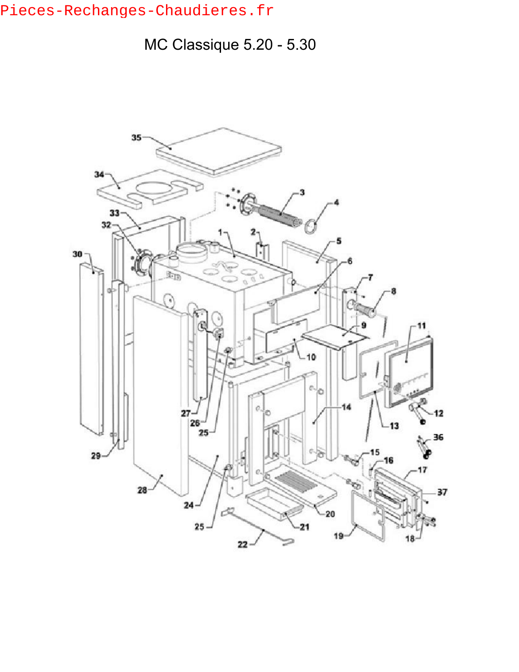## Pieces-Rechanges-Chaudieres.fr

MC Classique 5.20 - 5.30